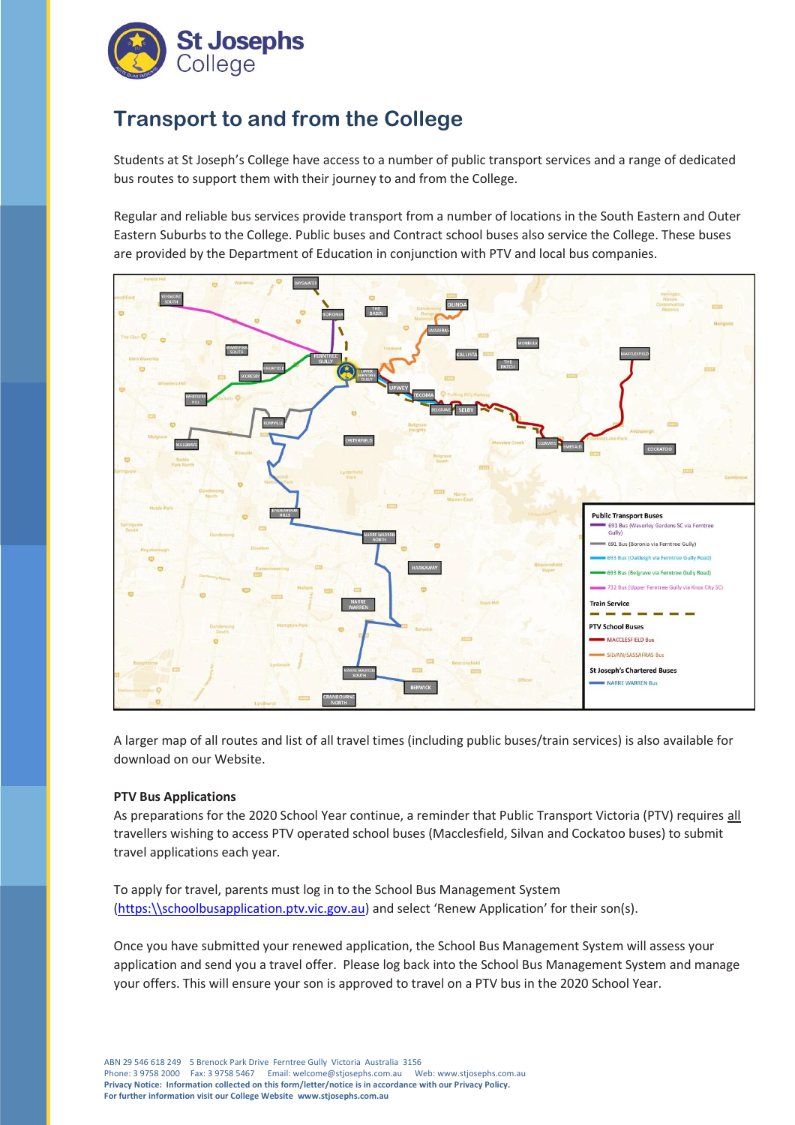

## **Transport to and from the College**

Students at St Joseph's College have access to a number of public transport services and a range of dedicated bus routes to support them with their journey to and from the College.

Regular and reliable bus services provide transport from a number of locations in the South Eastern and Outer Eastern Suburbs to the College. Public buses and Contract school buses also service the College. These buses are provided by the Department of Education in conjunction with PTV and local bus companies.



A larger map of all routes and list of all travel times (including public buses/train services) is also available for download on our Website.

## **PTV Bus Applications**

As preparations for the 2020 School Year continue, a reminder that Public Transport Victoria (PTV) requires all travellers wishing to access PTV operated school buses (Macclesfield, Silvan and Cockatoo buses) to submit travel applications each year.

To apply for travel, parents must log in to the School Bus Management System [\(https:\\schoolbusapplication.ptv.vic.gov.au\)](https://schoolbusapplication.ptv.vic.gov.au/) and select 'Renew Application' for their son(s).

Once you have submitted your renewed application, the School Bus Management System will assess your application and send you a travel offer. Please log back into the School Bus Management System and manage your offers. This will ensure your son is approved to travel on a PTV bus in the 2020 School Year.